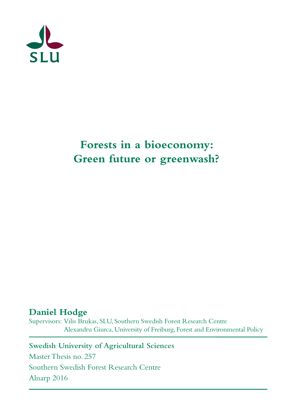

# **Forests in a bioeconomy: Green future or greenwash?**

## **Daniel Hodge**

Supervisors: Vilis Brukas, SLU, Southern Swedish Forest Research Centre Alexandru Giurca, University of Freiburg, Forest and Environmental Policy

**Swedish University of Agricultural Sciences** 

Master Thesis no. 257 Southern Swedish Forest Research Centre Alnarp 2016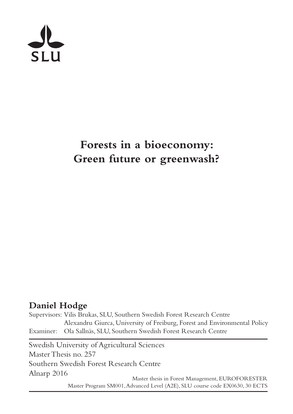

# **Forests in a bioeconomy: Green future or greenwash?**

## **Daniel Hodge**

Supervisors: Vilis Brukas, SLU, Southern Swedish Forest Research Centre Alexandru Giurca, University of Freiburg, Forest and Environmental Policy Examiner: Ola Sallnäs, SLU, Southern Swedish Forest Research Centre

Swedish University of Agricultural Sciences Master Thesis no. 257 Southern Swedish Forest Research Centre Alnarp 2016

Master thesis in Forest Management, EUROFORESTER Master Program SM001, Advanced Level (A2E), SLU course code EX0630, 30 ECTS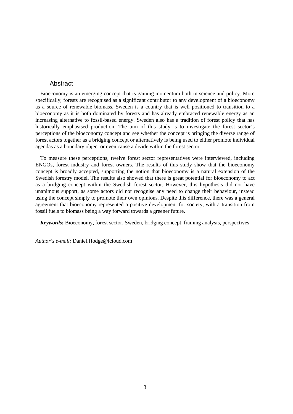### Abstract

Bioeconomy is an emerging concept that is gaining momentum both in science and policy. More specifically, forests are recognised as a significant contributor to any development of a bioeconomy as a source of renewable biomass. Sweden is a country that is well positioned to transition to a bioeconomy as it is both dominated by forests and has already embraced renewable energy as an increasing alternative to fossil-based energy. Sweden also has a tradition of forest policy that has historically emphasised production. The aim of this study is to investigate the forest sector's perceptions of the bioeconomy concept and see whether the concept is bringing the diverse range of forest actors together as a bridging concept or alternatively is being used to either promote individual agendas as a boundary object or even cause a divide within the forest sector.

To measure these perceptions, twelve forest sector representatives were interviewed, including ENGOs, forest industry and forest owners. The results of this study show that the bioeconomy concept is broadly accepted, supporting the notion that bioeconomy is a natural extension of the Swedish forestry model. The results also showed that there is great potential for bioeconomy to act as a bridging concept within the Swedish forest sector. However, this hypothesis did not have unanimous support, as some actors did not recognise any need to change their behaviour, instead using the concept simply to promote their own opinions. Despite this difference, there was a general agreement that bioeconomy represented a positive development for society, with a transition from fossil fuels to biomass being a way forward towards a greener future.

*Keywords:* Bioeconomy, forest sector, Sweden, bridging concept, framing analysis, perspectives

*Author's e-mail:* Daniel.Hodge@icloud.com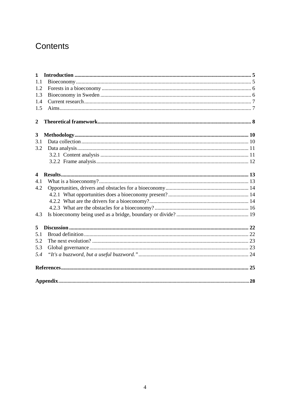## Contents

| $\mathbf{1}$            |  |
|-------------------------|--|
| 1.1                     |  |
| 1.2                     |  |
| 1.3                     |  |
| 1.4                     |  |
| 1.5                     |  |
| $\mathbf{2}$            |  |
| 3                       |  |
| 3.1                     |  |
| 3.2                     |  |
|                         |  |
|                         |  |
| $\overline{\mathbf{4}}$ |  |
| 4.1                     |  |
| 4.2                     |  |
|                         |  |
|                         |  |
|                         |  |
| 4.3                     |  |
| 5                       |  |
| 5.1                     |  |
| 5.2                     |  |
| 5.3                     |  |
| 5.4                     |  |
|                         |  |
|                         |  |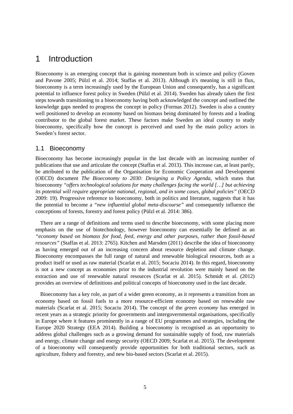## 1 Introduction

Bioeconomy is an emerging concept that is gaining momentum both in science and policy (Goven and Pavone 2005; Pülzl et al. 2014; Staffas et al. 2013). Although it's meaning is still in flux, bioeconomy is a term increasingly used by the European Union and consequently, has a significant potential to influence forest policy in Sweden (Pülzl et al. 2014). Sweden has already taken the first steps towards transitioning to a bioeconomy having both acknowledged the concept and outlined the knowledge gaps needed to progress the concept in policy (Formas 2012). Sweden is also a country well positioned to develop an economy based on biomass being dominated by forests and a leading contributor to the global forest market. These factors make Sweden an ideal country to study bioeconomy, specifically how the concept is perceived and used by the main policy actors in Sweden's forest sector.

## 1.1 Bioeconomy

Bioeconomy has become increasingly popular in the last decade with an increasing number of publications that use and articulate the concept (Staffas et al. 2013). This increase can, at least partly, be attributed to the publication of the Organisation for Economic Cooperation and Development (OECD) document *The Bioeconomy to 2030: Designing a Policy Agenda*, which states that bioeconomy *"offers technological solutions for many challenges facing the world […] but achieving its potential will require appropriate national, regional, and in some cases, global policies"* (OECD 2009: 19). Progressive reference to bioeconomy, both in politics and literature, suggests that it has the potential to become a *"new influential global meta-discourse"* and consequently influence the conceptions of forests, forestry and forest policy (Pülzl et al. 2014: 386).

There are a range of definitions and terms used to describe bioeconomy, with some placing more emphasis on the use of biotechnology, however bioeconomy can essentially be defined as an *"economy based on biomass for food, feed, energy and other purposes, rather than fossil-based resources"* (Staffas et al. 2013: 2765). Kitchen and Marsden (2011) describe the idea of bioeconomy as having emerged out of an increasing concern about resource depletion and climate change. Bioeconomy encompasses the full range of natural and renewable biological resources, both as a product itself or used as raw material (Scarlat et al. 2015; Socaciu 2014). In this regard, bioeconomy is not a new concept as economies prior to the industrial revolution were mainly based on the extraction and use of renewable natural resources (Scarlat et al. 2015). Schmidt et al. (2012) provides an overview of definitions and political concepts of bioeconomy used in the last decade.

Bioeconomy has a key role, as part of a wider green economy, as it represents a transition from an economy based on fossil fuels to a more resource-efficient economy based on renewable raw materials (Scarlat et al. 2015; Socaciu 2014). The concept of the *green economy* has emerged in recent years as a strategic priority for governments and intergovernmental organisations, specifically in Europe where it features prominently in a range of EU programmes and strategies, including the Europe 2020 Strategy (EEA 2014). Building a bioeconomy is recognised as an opportunity to address global challenges such as a growing demand for sustainable supply of food, raw materials and energy, climate change and energy security (OECD 2009; Scarlat et al. 2015). The development of a bioeconomy will consequently provide opportunities for both traditional sectors, such as agriculture, fishery and forestry, and new bio-based sectors (Scarlat et al. 2015).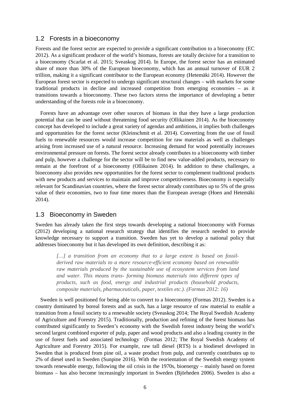### 1.2 Forests in a bioeconomy

Forests and the forest sector are expected to provide a significant contribution to a bioeconomy (EC 2012). As a significant producer of the world's biomass, forests are totally decisive for a transition to a bioeconomy (Scarlat et al. 2015; Sveaskog 2014). In Europe, the forest sector has an estimated share of more than 30% of the European bioeconomy, which has an annual turnover of EUR 2 trillion, making it a significant contributor to the European economy (Hetemäki 2014). However the European forest sector is expected to undergo significant structural changes – with markets for some traditional products in decline and increased competition from emerging economies – as it transitions towards a bioeconomy. These two factors stress the importance of developing a better understanding of the forests role in a bioeconomy.

Forests have an advantage over other sources of biomass in that they have a large production potential that can be used without threatening food security (Ollikainen 2014). As the bioeconomy concept has developed to include a great variety of agendas and ambitions, it implies both challenges and opportunities for the forest sector (Kleinschmit et al. 2014). Converting from the use of fossil fuels to renewable resources would increase competition for raw materials as well as challenges arising from increased use of a natural resource. Increasing demand for wood potentially increases environmental pressure on forests. The forest sector already contributes to a bioeconomy with timber and pulp, however a challenge for the sector will be to find new value-added products, necessary to remain at the forefront of a bioeconomy (Ollikainen 2014). In addition to these challenges, a bioeconomy also provides new opportunities for the forest sector to complement traditional products with new products and services to maintain and improve competitiveness. Bioeconomy is especially relevant for Scandinavian countries, where the forest sector already contributes up to 5% of the gross value of their economies, two to four time mores than the European average (Hoen and Hetemäki 2014).

#### 1.3 Bioeconomy in Sweden

Sweden has already taken the first steps towards developing a national bioeconomy with Formas (2012) developing a national research strategy that identifies the research needed to provide knowledge necessary to support a transition. Sweden has yet to develop a national policy that addresses bioeconomy but it has developed its own definition, describing it as:

*[…] a transition from an economy that to a large extent is based on fossilderived raw materials to a more resource-efficient economy based on renewable raw materials produced by the sustainable use of ecosystem services from land and water. This means trans- forming biomass materials into different types of products, such as food, energy and industrial products (household products, composite materials, pharmaceuticals, paper, textiles etc.). (Formas 2012: 16)* 

Sweden is well positioned for being able to convert to a bioeconomy (Formas 2012). Sweden is a country dominated by boreal forests and as such, has a large resource of raw material to enable a transition from a fossil society to a renewable society (Sveaskog 2014; The Royal Swedish Academy of Agriculture and Forestry 2015). Traditionally, production and refining of the forest biomass has contributed significantly to Sweden's economy with the Swedish forest industry being the world's second largest combined exporter of pulp, paper and wood products and also a leading country in the use of forest fuels and associated technology (Formas 2012; The Royal Swedish Academy of Agriculture and Forestry 2015). For example, raw tall diesel (RTS) is a biodiesel developed in Sweden that is produced from pine oil, a waste product from pulp, and currently contributes up to 2% of diesel used in Sweden (Sunpine 2016). With the reorientation of the Swedish energy system towards renewable energy, following the oil crisis in the 1970s, bioenergy – mainly based on forest biomass – has also become increasingly important in Sweden (Björheden 2006). Sweden is also a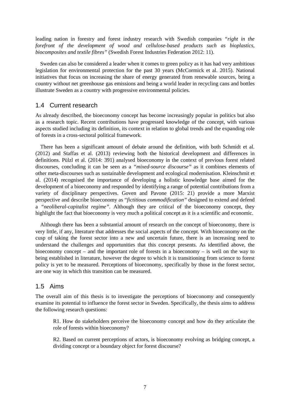leading nation in forestry and forest industry research with Swedish companies *"right in the forefront of the development of wood and cellulose-based products such as bioplastics, biocomposites and textile fibres"* (Swedish Forest Industries Federation 2012: 11).

Sweden can also be considered a leader when it comes to green policy as it has had very ambitious legislation for environmental protection for the past 30 years (McCormick et al. 2015). National initiatives that focus on increasing the share of energy generated from renewable sources, being a country without net greenhouse gas emissions and being a world leader in recycling cans and bottles illustrate Sweden as a country with progressive environmental policies.

### 1.4 Current research

As already described, the bioeconomy concept has become increasingly popular in politics but also as a research topic. Recent contributions have progressed knowledge of the concept, with various aspects studied including its definition, its context in relation to global trends and the expanding role of forests in a cross-sectoral political framework.

There has been a significant amount of debate around the definition, with both Schmidt et al. (2012) and Staffas et al. (2013) reviewing both the historical development and differences in definitions. Pülzl et al. (2014: 391) analysed bioeconomy in the context of previous forest related discourses, concluding it can be seen as a *"mixed-source discourse"* as it combines elements of other meta-discourses such as sustainable development and ecological modernisation. Kleinschmit et al. (2014) recognised the importance of developing a holistic knowledge base aimed for the development of a bioeconomy and responded by identifying a range of potential contributions from a variety of disciplinary perspectives. Goven and Pavone (2015: 21) provide a more Marxist perspective and describe bioeconomy as "*fictitious commodification"* designed to extend and defend a *"neoliberal-capitalist regime"*. Although they are critical of the bioeconomy concept, they highlight the fact that bioeconomy is very much a political concept as it is a scientific and economic.

Although there has been a substantial amount of research on the concept of bioeconomy, there is very little, if any, literature that addresses the social aspects of the concept. With bioeconomy on the cusp of taking the forest sector into a new and uncertain future, there is an increasing need to understand the challenges and opportunities that this concept presents. As identified above, the bioeconomy concept – and the important role of forests in a bioeconomy – is well on the way to being established in literature, however the degree to which it is transitioning from science to forest policy is yet to be measured. Perceptions of bioeconomy, specifically by those in the forest sector, are one way in which this transition can be measured.

## 1.5 Aims

The overall aim of this thesis is to investigate the perceptions of bioeconomy and consequently examine its potential to influence the forest sector in Sweden. Specifically, the thesis aims to address the following research questions:

R1. How do stakeholders perceive the bioeconomy concept and how do they articulate the role of forests within bioeconomy?

R2. Based on current perceptions of actors, is bioeconomy evolving as bridging concept, a dividing concept or a boundary object for forest discourse?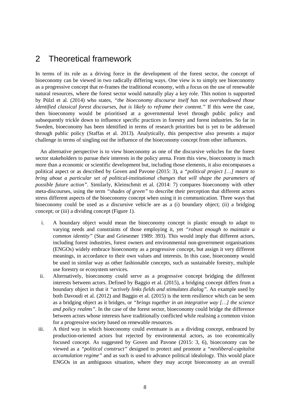## 2 Theoretical framework

In terms of its role as a driving force in the development of the forest sector, the concept of bioeconomy can be viewed in two radically differing ways. One view is to simply see bioeconomy as a progressive concept that re-frames the traditional economy, with a focus on the use of renewable natural resources, where the forest sector would naturally play a key role. This notion is supported by Pülzl et al. (2014) who states, *"the bioeconomy discourse itself has not overshadowed those identified classical forest discourses, but is likely to reframe their content."* If this were the case, then bioeconomy would be prioritised at a governmental level through public policy and subsequently trickle down to influence specific practices in forestry and forest industries. So far in Sweden, bioeconomy has been identified in terms of research priorities but is yet to be addressed through public policy (Staffas et al. 2013). Analytically, this perspective also presents a major challenge in terms of singling out the influence of the bioeconomy concept from other influences.

An alternative perspective is to view bioeconomy as one of the discursive vehicles for the forest sector stakeholders to pursue their interests in the policy arena. From this view, bioeconomy is much more than a economic or scientific development but, including those elements, it also encompasses a political aspect or as described by Goven and Pavone (2015: 3), a *"political project […] meant to bring about a particular set of political-institutional changes that will shape the parameters of possible future action".* Similarly, Kleinschmit et al. (2014: 7) compares bioeconomy with other meta-discourses, using the term *"shades of green"* to describe their perception that different actors stress different aspects of the bioeconomy concept when using it in communication. Three ways that bioeconomy could be used as a discursive vehicle are as a (i) boundary object; (ii) a bridging concept; or (iii) a dividing concept (Figure 1).

- i. A boundary object would mean the bioeconomy concept is plastic enough to adapt to varying needs and constraints of those employing it, yet *"robust enough to maintain a common identity"* (Star and Griesemer 1989: 393). This would imply that different actors, including forest industries, forest owners and environmental non-government organisations (ENGOs) widely embrace bioeconomy as a progressive concept, but assign it very different meanings, in accordance to their own values and interests. In this case, bioeconomy would be used in similar way as other fashionable concepts, such as sustainable forestry, multiple use forestry or ecosystem services.
- ii. Alternatively, bioeconomy could serve as a progressive concept bridging the different interests between actors. Defined by Baggio et al. (2015), a bridging concept differs from a boundary object in that it *"actively links fields and stimulates dialog".* An example used by both Davoudi et al. (2012) and Baggio et al. (2015) is the term resilience which can be seen as a bridging object as it bridges, or *"brings together in an integrative way […] the science and policy realms"*. In the case of the forest sector, bioeconomy could bridge the difference between actors whose interests have traditionally conflicted while realising a common vision for a progressive society based on renewable resources.
- iii. A third way in which bioeconomy could eventuate is as a dividing concept, embraced by production-oriented actors but rejected by environmental actors, as too economically focused concept. As suggested by Goven and Pavone (2015: 3, 6), bioeconomy can be viewed as a *"political construct"* designed to protect and promote a *"neoliberal-capitalist accumulation regime"* and as such is used to advance political idealology. This would place ENGOs in an ambiguous situation, where they may accept bioeconomy as an overall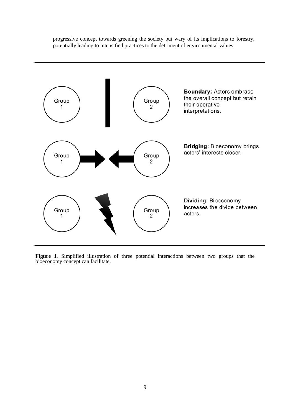progressive concept towards greening the society but wary of its implications to forestry, potentially leading to intensified practices to the detriment of environmental values.



**Figure 1***.* Simplified illustration of three potential interactions between two groups that the bioeconomy concept can facilitate.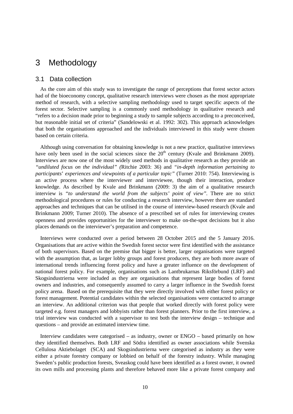## 3 Methodology

#### 3.1 Data collection

As the core aim of this study was to investigate the range of perceptions that forest sector actors had of the bioeconomy concept, qualitative research interviews were chosen as the most appropriate method of research, with a selective sampling methodology used to target specific aspects of the forest sector. Selective sampling is a commonly used methodology in qualitative research and "refers to a decision made prior to beginning a study to sample subjects according to a preconceived, but reasonable initial set of criteria" (Sandelowski et al. 1992: 302). This approach acknowledges that both the organisations approached and the individuals interviewed in this study were chosen based on certain criteria.

Although using conversation for obtaining knowledge is not a new practice, qualitative interviews have only been used in the social sciences since the  $20<sup>th</sup>$  century (Kvale and Brinkmann 2009). Interviews are now one of the most widely used methods in qualitative research as they provide an *"undiluted focus on the individual" (*Ritchie 2003: 36) and *"in-depth information pertaining to participants*' *experiences and viewpoints of a particular topic"* (Turner 2010: 754). Interviewing is an active process where the interviewer and interviewee, though their interaction, produce knowledge. As described by Kvale and Brinkmann (2009: 3) the aim of a qualitative research interview is "to understand the world from the subjects' point of view". There are no strict methodological procedures or rules for conducting a research interview, however there are standard approaches and techniques that can be utilised in the course of interview-based research (Kvale and Brinkmann 2009; Turner 2010). The absence of a prescribed set of rules for interviewing creates openness and provides opportunities for the interviewer to make on-the-spot decisions but it also places demands on the interviewer's preparation and competence.

Interviews were conducted over a period between 28 October 2015 and the 5 January 2016. Organisations that are active within the Swedish forest sector were first identified with the assistance of both supervisors. Based on the premise that bigger is better, larger organisations were targeted with the assumption that, as larger lobby groups and forest producers, they are both more aware of international trends influencing forest policy and have a greater influence on the development of national forest policy. For example, organisations such as Lantbrukarnas Riksförbund (LRF) and Skogsindustrierna were included as they are organisations that represent large bodies of forest owners and industries, and consequently assumed to carry a larger influence in the Swedish forest policy arena. Based on the prerequisite that they were directly involved with either forest policy or forest management. Potential candidates within the selected organisations were contacted to arrange an interview. An additional criterion was that people that worked directly with forest policy were targeted e.g. forest managers and lobbyists rather than forest planners. Prior to the first interview, a trial interview was conducted with a supervisor to test both the interview design – technique and questions – and provide an estimated interview time.

Interview candidates were categorised – as industry, owner or ENGO – based primarily on how they identified themselves. Both LRF and Södra identified as owner associations while Svenska Cellulosa Aktiebolaget (SCA) and Skogsindustrierna were categorised as industry as they were either a private forestry company or lobbied on behalf of the forestry industry. While managing Sweden's public production forests, Sveaskog could have been identified as a forest owner, it owned its own mills and processing plants and therefore behaved more like a private forest company and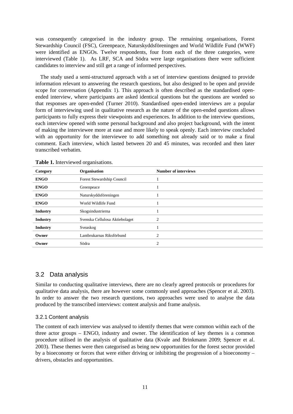was consequently categorised in the industry group. The remaining organisations, Forest Stewardship Council (FSC), Greenpeace, Naturskyddsföreningen and World Wildlife Fund (WWF) were identified as ENGOs. Twelve respondents, four from each of the three categories, were interviewed (Table 1). As LRF, SCA and Södra were large organisations there were sufficient candidates to interview and still get a range of informed perspectives.

The study used a semi-structured approach with a set of interview questions designed to provide information relevant to answering the research questions, but also designed to be open and provide scope for conversation (Appendix 1). This approach is often described as the standardised openended interview, where participants are asked identical questions but the questions are worded so that responses are open-ended (Turner 2010). Standardised open-ended interviews are a popular form of interviewing used in qualitative research as the nature of the open-ended questions allows participants to fully express their viewpoints and experiences. In addition to the interview questions, each interview opened with some personal background and also project background, with the intent of making the interviewee more at ease and more likely to speak openly. Each interview concluded with an opportunity for the interviewee to add something not already said or to make a final comment. Each interview, which lasted between 20 and 45 minutes, was recorded and then later transcribed verbatim.

| Category        | Organisation                   | <b>Number of interviews</b> |
|-----------------|--------------------------------|-----------------------------|
| <b>ENGO</b>     | Forest Stewardship Council     |                             |
| <b>ENGO</b>     | Greenpeace                     |                             |
| <b>ENGO</b>     | Naturskyddsföreningen          |                             |
| <b>ENGO</b>     | World Wildlife Fund            |                             |
| <b>Industry</b> | Skogsindustrierna              |                             |
| <b>Industry</b> | Svenska Cellulosa Aktiebolaget | $\overline{2}$              |
| <b>Industry</b> | Sveaskog                       |                             |
| Owner           | Lantbrukarnas Riksförbund      | $\overline{2}$              |
| Owner           | Södra                          | $\overline{c}$              |

**Table 1.** Interviewed organisations.

### 3.2 Data analysis

Similar to conducting qualitative interviews, there are no clearly agreed protocols or procedures for qualitative data analysis, there are however some commonly used approaches (Spencer et al. 2003). In order to answer the two research questions, two approaches were used to analyse the data produced by the transcribed interviews: content analysis and frame analysis.

#### 3.2.1 Content analysis

The content of each interview was analysed to identify themes that were common within each of the three actor groups – ENGO, industry and owner. The identification of key themes is a common procedure utilised in the analysis of qualitative data (Kvale and Brinkmann 2009; Spencer et al. 2003). These themes were then categorised as being new opportunities for the forest sector provided by a bioeconomy or forces that were either driving or inhibiting the progression of a bioeconomy – drivers, obstacles and opportunities.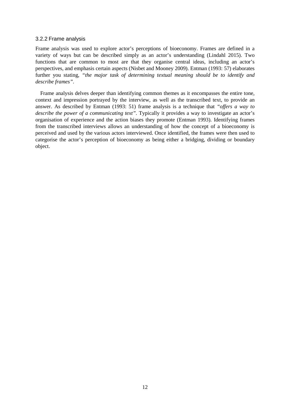#### 3.2.2 Frame analysis

Frame analysis was used to explore actor's perceptions of bioeconomy. Frames are defined in a variety of ways but can be described simply as an actor's understanding (Lindahl 2015). Two functions that are common to most are that they organise central ideas, including an actor's perspectives, and emphasis certain aspects (Nisbet and Mooney 2009). Entman (1993: 57) elaborates further you stating, *"the major task of determining textual meaning should be to identify and describe frames".*

Frame analysis delves deeper than identifying common themes as it encompasses the entire tone, context and impression portrayed by the interview, as well as the transcribed text, to provide an answer. As described by Entman (1993: 51) frame analysis is a technique that *"offers a way to describe the power of a communicating text"*. Typically it provides a way to investigate an actor's organisation of experience and the action biases they promote (Entman 1993). Identifying frames from the transcribed interviews allows an understanding of how the concept of a bioeconomy is perceived and used by the various actors interviewed. Once identified, the frames were then used to categorise the actor's perception of bioeconomy as being either a bridging, dividing or boundary object.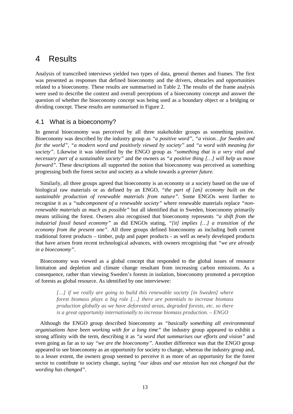## 4 Results

Analysis of transcribed interviews yielded two types of data, general themes and frames. The first was presented as responses that defined bioeconomy and the drivers, obstacles and opportunities related to a bioeconomy. These results are summarised in Table 2. The results of the frame analysis were used to describe the context and overall perceptions of a bioeconomy concept and answer the question of whether the bioeconomy concept was being used as a boundary object or a bridging or dividing concept. These results are summarised in Figure 2.

## 4.1 What is a bioeconomy?

In general bioeconomy was perceived by all three stakeholder groups as something positive. Bioeconomy was described by the industry group as *"a positive word"*, *"a vision…for Sweden and for the world"*, *"a modern word and positively viewed by society"* and *"a word with meaning for society"*. Likewise it was identified by the ENGO group as *"something that is a very vital and necessary part of a sustainable society"* and the owners as *"a positive thing […] will help us move forward"*. These descriptions all supported the notion that bioeconomy was perceived as something progressing both the forest sector and society as a whole towards a *greener future.*

Similarly, all three groups agreed that bioeconomy is an economy or a society based on the use of biological raw materials or as defined by an ENGO, *"the part of [an] economy built on the sustainable production of renewable materials from nature"*. Some ENGOs went further to recognise it as a *"subcomponent of a renewable society"* where renewable materials replace *"nonrenewable materials as much as possible"* but all identified that in Sweden, bioeconomy primarily means utilising the forest. Owners also recognised that bioeconomy represents *"a shift from the industrial fossil based economy"* as did ENGOs stating, *"[it] implies […] a transition of the economy from the present one"*. All three groups defined bioeconomy as including both current traditional forest products – timber, pulp and paper products - as well as newly developed products that have arisen from recent technological advances, with owners recognising that *"we are already in a bioeconomy"*.

Bioeconomy was viewed as a global concept that responded to the global issues of resource limitation and depletion and climate change resultant from increasing carbon emissions. As a consequence, rather than viewing Sweden's forests in isolation, bioeconomy promoted a perception of forests as global resource. As identified by one interviewee:

*[…] if we really are going to build this renewable society [in Sweden] where forest biomass plays a big role […] there are potentials to increase biomass production globally as we have deforested areas, degraded forests, etc. so there is a great opportunity internationally to increase biomass production. – ENGO*

Although the ENGO group described bioeconomy as *"basically something all environmental organisations have been working with for a long time"* the industry group appeared to exhibit a strong affinity with the term, describing it as *"a word that summarises our efforts and vision"* and even going as far as to say *"we are the bioeconomy"*. Another difference was that the ENGO group appeared to see bioeconomy as an opportunity for society to change, whereas the industry group and, to a lesser extent, the owners group seemed to perceive it as more of an opportunity for the forest sector to contribute to society change, saying *"our ideas and our mission has not changed but the wording has changed"*.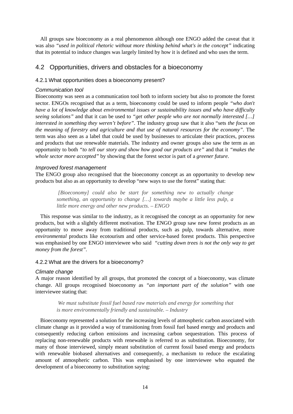All groups saw bioeconomy as a real phenomenon although one ENGO added the caveat that it was also *"used in political rhetoric without more thinking behind what's in the concept"* indicating that its potential to induce changes was largely limited by how it is defined and who uses the term.

### 4.2 Opportunities, drivers and obstacles for a bioeconomy

#### 4.2.1 What opportunities does a bioeconomy present?

#### *Communication tool*

Bioeconomy was seen as a communication tool both to inform society but also to promote the forest sector. ENGOs recognised that as a term, bioeconomy could be used to inform people *"who don't have a lot of knowledge about environmental issues or sustainability issues and who have difficulty seeing solutions"* and that it can be used to *"get other people who are not normally interested […] interested in something they weren't before"*. The industry group saw that it also "sets *the focus on the meaning of forestry and agriculture and that use of natural resources for the economy"*. The term was also seen as a label that could be used by businesses to articulate their practices, process and products that use renewable materials. The industry and owner groups also saw the term as an opportunity to both *"to tell our story and show how good our products are"* and that it *"makes the whole sector more accepted"* by showing that the forest sector is part of a *greener future*.

#### *Improved forest management*

The ENGO group also recognised that the bioeconomy concept as an opportunity to develop new products but also as an opportunity to develop "new ways to use the forest" stating that:

*[Bioeconomy] could also be start for something new to actually change something, an opportunity to change […] towards maybe a little less pulp, a little more energy and other new products. – ENGO*

This response was similar to the industry, as it recognised the concept as an opportunity for new products, but with a slightly different motivation. The ENGO group saw new forest products as an opportunity to move away from traditional products, such as pulp, towards alternative, more *environmental* products like ecotourism and other service-based forest products. This perspective was emphasised by one ENGO interviewee who said *"cutting down trees is not the only way to get money from the forest".*

#### 4.2.2 What are the drivers for a bioeconomy?

#### *Climate change*

A major reason identified by all groups, that promoted the concept of a bioeconomy, was climate change. All groups recognised bioeconomy as *"an important part of the solution"* with one interviewee stating that:

*We must substitute fossil fuel based raw materials and energy for something that is more environmentally friendly and sustainable. – Industry*

Bioeconomy represented a solution for the increasing levels of atmospheric carbon associated with climate change as it provided a way of transitioning from fossil fuel based energy and products and consequently reducing carbon emissions and increasing carbon sequestration. This process of replacing non-renewable products with renewable is referred to as substitution. Bioeconomy, for many of those interviewed, simply meant substitution of current fossil based energy and products with renewable biobased alternatives and consequently, a mechanism to reduce the escalating amount of atmospheric carbon. This was emphasised by one interviewee who equated the development of a bioeconomy to substitution saying: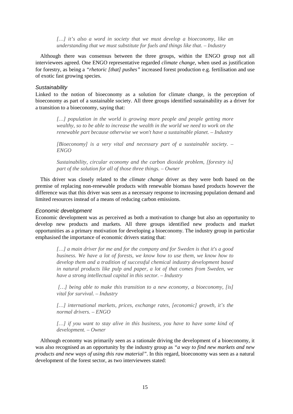[…] it's also a word in society that we must develop a bioeconomy, like an *understanding that we must substitute for fuels and things like that. – Industry* 

Although there was consensus between the three groups, within the ENGO group not all interviewees agreed. One ENGO representative regarded *climate change,* when used as justification for forestry, as being a *"rhetoric [that] pushes"* increased forest production e.g. fertilisation and use of exotic fast growing species.

#### *Sustainability*

Linked to the notion of bioeconomy as a solution for climate change, is the perception of bioeconomy as part of a sustainable society. All three groups identified sustainability as a driver for a transition to a bioeconomy, saying that:

[...] population in the world is growing more people and people getting more *wealthy, so to be able to increase the wealth in the world we need to work on the renewable part because otherwise we won't have a sustainable planet. – Industry* 

*[Bioeconomy] is a very vital and necessary part of a sustainable society. – ENGO*

*Sustainability, circular economy and the carbon dioxide problem, [forestry is] part of the solution for all of those three things. – Owner*

This driver was closely related to the *climate change* driver as they were both based on the premise of replacing non-renewable products with renewable biomass based products however the difference was that this driver was seen as a necessary response to increasing population demand and limited resources instead of a means of reducing carbon emissions.

#### *Economic development*

Economic development was as perceived as both a motivation to change but also an opportunity to develop new products and markets. All three groups identified new products and market opportunities as a primary motivation for developing a bioeconomy. The industry group in particular emphasised the importance of economic drivers stating that:

*[…] a main driver for me and for the company and for Sweden is that it's a good business. We have a lot of forests, we know how to use them, we know how to develop them and a tradition of successful chemical industry development based in natural products like pulp and paper, a lot of that comes from Sweden, we have a strong intellectual capital in this sector. – Industry* 

*[…] being able to make this transition to a new economy, a bioeconomy, [is] vital for survival. – Industry* 

[...] international markets, prices, exchange rates, [economic] growth, it's the *normal drivers. – ENGO*

[...] if you want to stay alive in this business, you have to have some kind of *development. – Owner*

Although economy was primarily seen as a rationale driving the development of a bioeconomy, it was also recognised as an opportunity by the industry group as *"a way to find new markets and new products and new ways of using this raw material"*. In this regard, bioeconomy was seen as a natural development of the forest sector, as two interviewees stated: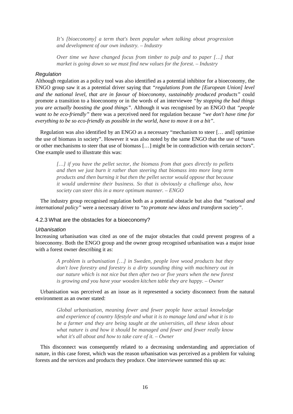*It's [bioeconomy] a term that's been popular when talking about progression and development of our own industry. – Industry* 

*Over time we have changed focus from timber to pulp and to paper […] that market is going down so we must find new values for the forest. – Industry* 

#### *Regulation*

Although regulation as a policy tool was also identified as a potential inhibitor for a bioeconomy, the ENGO group saw it as a potential driver saying that *"regulations from the [European Union] level and the national level, that are in favour of bioeconomy, sustainably produced products"* could promote a transition to a bioeconomy or in the words of an interviewee *"by stopping the bad things you are actually boosting the good things"*. Although it was recognised by an ENGO that *"people want to be eco-friendly"* there was a perceived need for regulation because *"we don't have time for everything to be so eco-friendly as possible in the world, have to move it on a bit"*.

Regulation was also identified by an ENGO as a necessary "mechanism to steer [… and] optimise the use of biomass in society". However it was also noted by the same ENGO that the use of "taxes or other mechanisms to steer that use of biomass […] might be in contradiction with certain sectors". One example used to illustrate this was:

*[…] if you have the pellet sector, the biomass from that goes directly to pellets and then we just burn it rather than steering that biomass into more long term products and then burning it but then the pellet sector would oppose that because it would undermine their business. So that is obviously a challenge also, how society can steer this in a more optimum manner. – ENGO*

The industry group recognised regulation both as a potential obstacle but also that *"national and international policy"* were a necessary driver to *"to promote new ideas and transform society"*.

#### 4.2.3 What are the obstacles for a bioeconomy?

#### *Urbanisation*

Increasing urbanisation was cited as one of the major obstacles that could prevent progress of a bioeconomy. Both the ENGO group and the owner group recognised urbanisation was a major issue with a forest owner describing it as:

*A problem is urbanisation […] in Sweden, people love wood products but they don't love forestry and forestry is a dirty sounding thing with machinery out in our nature which is not nice but then after two or five years when the new forest is growing and you have your wooden kitchen table they are happy. – Owner*

Urbanisation was perceived as an issue as it represented a society disconnect from the natural environment as an owner stated:

*Global urbanisation, meaning fewer and fewer people have actual knowledge and experience of country lifestyle and what it is to manage land and what it is to be a farmer and they are being taught at the universities, all these ideas about what nature is and how it should be managed and fewer and fewer really know what it's all about and how to take care of it. – Owner*

This disconnect was consequently related to a decreasing understanding and appreciation of nature, in this case forest, which was the reason urbanisation was perceived as a problem for valuing forests and the services and products they produce. One interviewee summed this up as: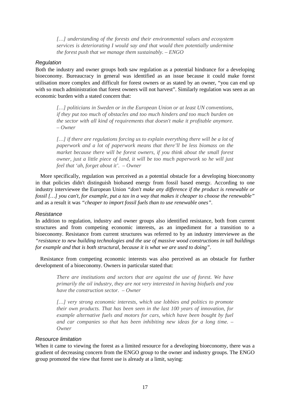[...] understanding of the forests and their environmental values and ecosystem *services is deteriorating I would say and that would then potentially undermine the forest push that we manage them sustainably. – ENGO*

#### *Regulation*

Both the industry and owner groups both saw regulation as a potential hindrance for a developing bioeconomy. Bureaucracy in general was identified as an issue because it could make forest utilisation more complex and difficult for forest owners or as stated by an owner, "you can end up with so much administration that forest owners will not harvest". Similarly regulation was seen as an economic burden with a stated concern that:

*[…] politicians in Sweden or in the European Union or at least UN conventions, if they put too much of obstacles and too much hinders and too much burden on the sector with all kind of requirements that doesn't make it profitable anymore. – Owner*

*[…] if there are regulations forcing us to explain everything there will be a lot of paperwork and a lot of paperwork means that there'll be less biomass on the market because there will be forest owners, if you think about the small forest owner, just a little piece of land, it will be too much paperwork so he will just feel that 'ah, forget about it'. – Owner*

More specifically, regulation was perceived as a potential obstacle for a developing bioeconomy in that policies didn't distinguish biobased energy from fossil based energy. According to one industry interviewee the European Union *"don't make any difference if the product is renewable or fossil […] you can't, for example, put a tax in a way that makes it cheaper to choose the renewable"* and as a result it was *"cheaper to import fossil fuels than to use renewable ones".*

#### *Resistance*

In addition to regulation, industry and owner groups also identified resistance, both from current structures and from competing economic interests, as an impediment for a transition to a bioeconomy. Resistance from current structures was referred to by an industry interviewee as the *"resistance to new building technologies and the use of massive wood constructions in tall buildings for example and that is both structural, because it is what we are used to doing"*.

Resistance from competing economic interests was also perceived as an obstacle for further development of a bioeconomy. Owners in particular stated that:

*There are institutions and sectors that are against the use of forest. We have primarily the oil industry, they are not very interested in having biofuels and you have the construction sector. – Owner*

*[…] very strong economic interests, which use lobbies and politics to promote their own products. That has been seen in the last 100 years of innovation, for example alternative fuels and motors for cars, which have been bought by fuel and car companies so that has been inhibiting new ideas for a long time. – Owner*

#### *Resource limitation*

When it came to viewing the forest as a limited resource for a developing bioeconomy, there was a gradient of decreasing concern from the ENGO group to the owner and industry groups. The ENGO group promoted the view that forest use is already at a limit, saying: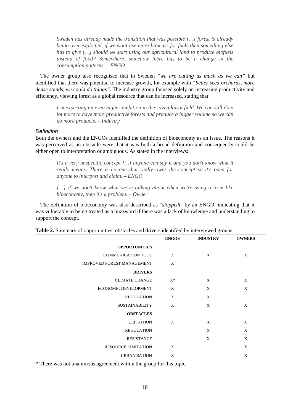*Sweden has already made the transition that was possible […] forest is already being over exploited, if we want use more biomass for fuels then something else has to give […] should we start using our agricultural land to produce biofuels instead of food? Somewhere, somehow there has to be a change in the consumption patterns. – ENGO*

The owner group also recognised that in Sweden *"we are cutting as much as we can"* but identified that there was potential to increase growth, for example with *"better seed orchards, more dense stands, we could do things"*. The industry group focused solely on increasing productivity and efficiency, viewing forest as a global resource that can be increased, stating that:

*I'm expecting an even higher ambition in the silvicultural field. We can still do a lot more to have more productive forests and produce a bigger volume so we can do more products. – Industry* 

#### *Definition*

Both the owners and the ENGOs identified the definition of bioeconomy as an issue. The reasons it was perceived as an obstacle were that it was both a broad definition and consequently could be either open to interpretation or ambiguous. As stated in the interviews:

*It's a very unspecific concept […] anyone can say it and you don't know what it really means. There is no one that really owns the concept so it's open for anyone to interpret and claim. – ENGO*

*[…] if we don't know what we're talking about when we're using a term like bioeconomy, then it's a problem. – Owner*

The definition of bioeconomy was also described as "*sloppish*" by an ENGO, indicating that it was vulnerable to being treated as a buzzword if there was a lack of knowledge and understanding to support the concept.

|                                   | <b>ENGOS</b> | <b>INDUSTRY</b> | <b>OWNERS</b> |
|-----------------------------------|--------------|-----------------|---------------|
| <b>OPPORTUNITIES</b>              |              |                 |               |
| <b>COMMUNICATION TOOL</b>         | X            | X               | X             |
| <b>IMPROVED FOREST MANAGEMENT</b> | X            |                 |               |
| <b>DRIVERS</b>                    |              |                 |               |
| <b>CLIMATE CHANGE</b>             | $X^*$        | X               | X             |
| ECONOMIC DEVELOPMENT              | X            | X               | X             |
| <b>REGULATION</b>                 | X            | X               |               |
| <b>SUSTAINABILITY</b>             | X            | X               | X             |
| <b>OBSTACLES</b>                  |              |                 |               |
| <b>DEFINITION</b>                 | X            | X               | X             |
| <b>REGULATION</b>                 |              | X               | X             |
| <b>RESISTANCE</b>                 |              | X               | X             |
| <b>RESOURCE LIMITATION</b>        | X            |                 | X             |
| <b>URBANISATION</b>               | X            |                 | X             |

**Table 2.** Summary of opportunities, obstacles and drivers identified by interviewed groups.

\* There was not unanimous agreement within the group for this topic.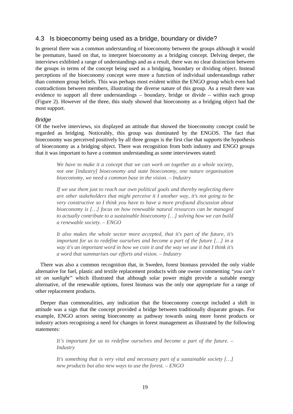### 4.3 Is bioeconomy being used as a bridge, boundary or divide?

In general there was a common understanding of bioeconomy between the groups although it would be premature, based on that, to interpret bioeconomy as a bridging concept. Delving deeper, the interviews exhibited a range of understandings and as a result, there was no clear distinction between the groups in terms of the concept being used as a bridging, boundary or dividing object. Instead perceptions of the bioeconomy concept were more a function of individual understandings rather than common group beliefs. This was perhaps most evident within the ENGO group which even had contradictions between members, illustrating the diverse nature of this group. As a result there was evidence to support all three understandings – boundary, bridge or divide – within each group (Figure 2). However of the three, this study showed that bioeconomy as a bridging object had the most support.

#### *Bridge*

Of the twelve interviews, six displayed an attitude that showed the bioeconomy concept could be regarded as bridging. Noticeably, this group was dominated by the ENGOS. The fact that bioeconomy was perceived positively by all three groups is the first clue that supports the hypothesis of bioeconomy as a bridging object. There was recognition from both industry and ENGO groups that it was important to have a common understanding as some interviewees stated:

*We have to make it a concept that we can work on together as a whole society, not one [industry] bioeconomy and state bioeconomy, one nature organisation bioeconomy, we need a common base in the vision. – Industry* 

*If we use them just to reach our own political goals and thereby neglecting there are other stakeholders that might perceive it I another way, it's not going to be very constructive so I think you have to have a more profound discussion about bioeconomy is […] focus on how renewable natural resources can be managed to actually contribute to a sustainable bioeconomy […] solving how we can build a renewable society. – ENGO*

*It also makes the whole sector more accepted, that it's part of the future, it's important for us to redefine ourselves and become a part of the future […] in a way it's an important word in how we coin it and the way we use it but I think it's a word that summarises our efforts and vision. – Industry* 

There was also a common recognition that, in Sweden, forest biomass provided the only viable alternative for fuel, plastic and textile replacement products with one owner commenting *"you can't sit on sunlight"* which illustrated that although solar power might provide a suitable energy alternative, of the renewable options, forest biomass was the only one appropriate for a range of other replacement products.

Deeper than commonalities, any indication that the bioeconomy concept included a shift in attitude was a sign that the concept provided a bridge between traditionally disparate groups. For example, ENGO actors seeing bioeconomy as pathway towards using more forest products or industry actors recognising a need for changes in forest management as illustrated by the following statements:

*It's important for us to redefine ourselves and become a part of the future. – Industry* 

*It's something that is very vital and necessary part of a sustainable society […] new products but also new ways to use the forest. – ENGO*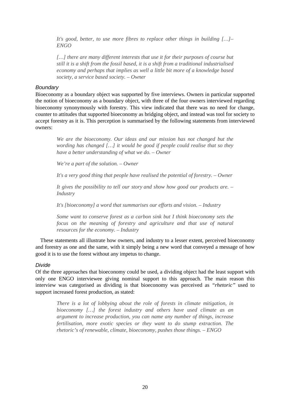It's good, better, to use more fibres to replace other things in building [...]– *ENGO*

*[…] there are many different interests that use it for their purposes of course but still it is a shift from the fossil based, it is a shift from a traditional industrialised economy and perhaps that implies as well a little bit more of a knowledge based society, a service based society. – Owner*

#### *Boundary*

Bioeconomy as a boundary object was supported by five interviews. Owners in particular supported the notion of bioeconomy as a boundary object, with three of the four owners interviewed regarding bioeconomy synonymously with forestry. This view indicated that there was no need for change, counter to attitudes that supported bioeconomy as bridging object, and instead was tool for society to accept forestry as it is. This perception is summarised by the following statements from interviewed owners:

*We are the bioeconomy. Our ideas and our mission has not changed but the wording has changed […] it would be good if people could realise that so they have a better understanding of what we do. – Owner*

*We're a part of the solution. – Owner*

*It's a very good thing that people have realised the potential of forestry. – Owner*

*It gives the possibility to tell our story and show how good our products are. – Industry* 

*It's [bioeconomy] a word that summarises our efforts and vision. – Industry* 

*Some want to conserve forest as a carbon sink but I think bioeconomy sets the focus on the meaning of forestry and agriculture and that use of natural resources for the economy. – Industry* 

These statements all illustrate how owners, and industry to a lesser extent, perceived bioeconomy and forestry as one and the same, with it simply being a new word that conveyed a message of how good it is to use the forest without any impetus to change.

#### *Divide*

Of the three approaches that bioeconomy could be used, a dividing object had the least support with only one ENGO interviewee giving nominal support to this approach. The main reason this interview was categorised as dividing is that bioeconomy was perceived as *"rhetoric"* used to support increased forest production, as stated:

*There is a lot of lobbying about the role of forests in climate mitigation, in bioeconomy […] the forest industry and others have used climate as an argument to increase production, you can name any number of things, increase fertilisation, more exotic species or they want to do stump extraction. The rhetoric's of renewable, climate, bioeconomy, pushes those things. – ENGO*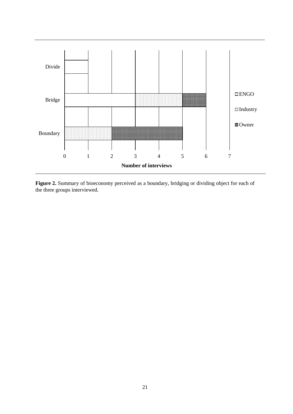

**Figure 2.** Summary of bioeconomy perceived as a boundary, bridging or dividing object for each of the three groups interviewed.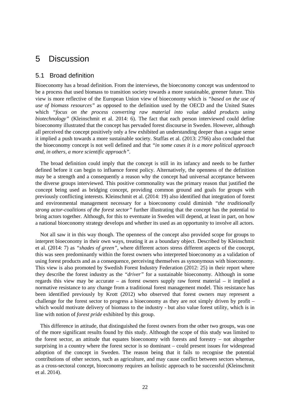## 5 Discussion

### 5.1 Broad definition

Bioeconomy has a broad definition. From the interviews, the bioeconomy concept was understood to be a process that used biomass to transition society towards a more sustainable, greener future. This view is more reflective of the European Union view of bioeconomy which is *"based on the use of use of biomass resources"* as opposed to the definition used by the OECD and the United States which *"focus on the process converting raw material into value added products using biotechnology"* (Kleinschmit et al. 2014: 6). The fact that each person interviewed could define bioeconomy illustrated that the concept has pervaded forest discourse in Sweden. However, although all perceived the concept positively only a few exhibited an understanding deeper than a vague sense it implied a push towards a more sustainable society. Staffas et al. (2013: 2766) also concluded that the bioeconomy concept is not well defined and that *"in some cases it is a more political approach and, in others, a more scientific approach".*

The broad definition could imply that the concept is still in its infancy and needs to be further defined before it can begin to influence forest policy. Alternatively, the openness of the definition may be a strength and a consequently a reason why the concept had universal acceptance between the diverse groups interviewed. This positive commonality was the primary reason that justified the concept being used as bridging concept, providing common ground and goals for groups with previously conflicting interests. Kleinschmit et al. (2014: 19) also identified that integration of forest and environmental management necessary for a bioeconomy could diminish *"the traditionally strong actor-coalitions of the forest sector"* further illustrating that the concept has the potential to bring actors together. Although, for this to eventuate in Sweden will depend, at least in part, on how a national bioeconomy strategy develops and whether its used as an opportunity to involve all actors.

Not all saw it in this way though. The openness of the concept also provided scope for groups to interpret bioeconomy in their own ways, treating it as a boundary object. Described by Kleinschmit et al. (2014: 7) as *"shades of green"*, where different actors stress different aspects of the concept, this was seen predominantly within the forest owners who interpreted bioeconomy as a validation of using forest products and as a consequence, perceiving themselves as synonymous with bioeconomy. This view is also promoted by Swedish Forest Industry Federation (2012: 25) in their report where they describe the forest industry as the *"driver"* for a sustainable bioeconomy. Although in some regards this view may be accurate – as forest owners supply raw forest material – it implied a normative resistance to any change from a traditional forest management model. This resistance has been identified previously by Krott (2012) who observed that forest owners may represent a challenge for the forest sector to progress a bioeconomy as they are not simply driven by profit – which would motivate delivery of biomass to the industry - but also value forest utility, which is in line with notion of *forest pride* exhibited by this group.

This difference in attitude, that distinguished the forest owners from the other two groups, was one of the more significant results found by this study. Although the scope of this study was limited to the forest sector, an attitude that equates bioeconomy with forests and forestry – not altogether surprising in a country where the forest sector is so dominant – could present issues for widespread adoption of the concept in Sweden. The reason being that it fails to recognise the potential contributions of other sectors, such as agriculture, and may cause conflict between sectors whereas, as a cross-sectoral concept, bioeconomy requires an holistic approach to be successful (Kleinschmit et al. 2014).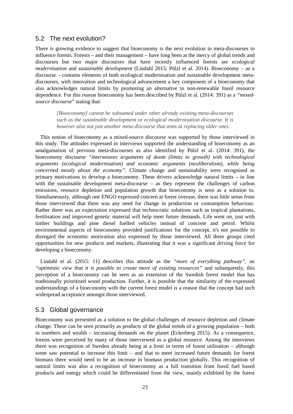### 5.2 The next evolution?

There is growing evidence to suggest that bioeconomy is the next evolution in meta-discourses to influence forests. Forests – and their management – have long been at the mercy of global trends and discourses but two major discourses that have recently influenced forests are *ecological modernisation* and *sustainable development* (Lindahl 2015; Pülzl et al. 2014). Bioeconomy – as a discourse – contains elements of both ecological modernisation and sustainable development metadiscourses, with innovation and technological advancement a key component of a bioeconomy that also acknowledges natural limits by promoting an alternative to non-renewable fossil resource dependence. For this reason bioeconomy has been described by Pülzl et al. (2014: 391) as a *"mixedsource discourse*" stating that:

*[Bioeconomy] cannot be subsumed under other already existing meta-discourses such as the sustainable development or ecological modernisation discourse. It is however also not just another meta-discourse that aims at replacing older ones.*

This notion of bioeconomy as a mixed-source discourse was supported by those interviewed in this study. The attitudes expressed in interviews supported the understanding of bioeconomy as an amalgamation of previous meta-discourses as also identified by Pülzl et al. (2014: 391), the bioeconomy discourse *"interweaves arguments of doom (limits to growth) with technological arguments (ecological modernisation) and economic arguments (neoliberalism), while being concerned mostly about the economy"*. Climate change and sustainability were recognised as primary motivations to develop a bioeconomy. These drivers acknowledge natural limits – in line with the sustainable development meta-discourse – as they represent the challenges of carbon emissions, resource depletion and population growth that bioeconomy is seen as a solution to. Simultaneously, although one ENGO expressed concern at forest overuse, there was little sense from those interviewed that there was any need for change in production or consumption behaviour. Rather there was an expectation expressed that technocratic solutions such as tropical plantations, fertilisation and improved genetic material will help meet future demands. Life went on, just with timber buildings and pine diesel fuelled vehicles instead of concrete and petrol. Whilst environmental aspects of bioeconomy provided justifications for the concept, it's not possible to disregard the economic motivation also expressed by those interviewed. All three groups cited opportunities for new products and markets, illustrating that it was a significant driving force for developing a bioeconomy.

Lindahl et al. (2015: 11) describes this attitude as the *"more of everything pathway",* an *"optimistic view that it is possible to create more of existing resources"* and subsequently, this perception of a bioeconomy can be seen as an extension of the Swedish forest model that has traditionally prioritised wood production. Further, it is possible that the similarity of the expressed understandings of a bioeconomy with the current forest model is a reason that the concept had such widespread acceptance amongst those interviewed.

## 5.3 Global governance

Bioeconomy was presented as a solution to the global challenges of resource depletion and climate change. These can be seen primarily as products of the global trends of a growing population – both in numbers and wealth – increasing demands on the planet (Eckerberg 2015). As a consequence, forests were perceived by many of those interviewed as a global resource. Among the interviews there was recognition of Sweden already being at a limit in terms of forest utilisation – although some saw potential to increase this limit – and that to meet increased future demands for forest biomass there would need to be an increase in biomass production globally. This recognition of natural limits was also a recognition of bioeconomy as a full transition from fossil fuel based products and energy which could be differentiated from the view, mainly exhibited by the forest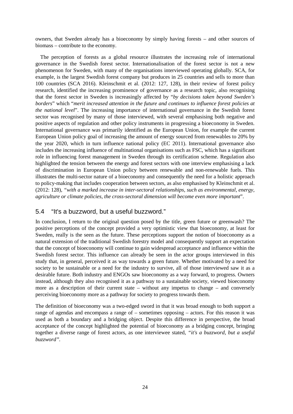owners, that Sweden already has a bioeconomy by simply having forests – and other sources of biomass – contribute to the economy.

The perception of forests as a global resource illustrates the increasing role of international governance in the Swedish forest sector. Internationalisation of the forest sector is not a new phenomenon for Sweden, with many of the organisations interviewed operating globally. SCA, for example, is the largest Swedish forest company but produces in 25 countries and sells to more than 100 countries (SCA 2016). Kleinschmit et al. (2012: 127, 128), in their review of forest policy research, identified the increasing prominence of governance as a research topic, also recognising that the forest sector in Sweden is increasingly affected by "*by decisions taken beyond Sweden's borders*" which "*merit increased attention in the future and continues to influence forest policies at the national level*". The increasing importance of international governance in the Swedish forest sector was recognised by many of those interviewed, with several emphasising both negative and positive aspects of regulation and other policy instruments in progressing a bioeconomy in Sweden. International governance was primarily identified as the European Union, for example the current European Union policy goal of increasing the amount of energy sourced from renewables to 20% by the year 2020, which in turn influence national policy (EC 2011). International governance also includes the increasing influence of multinational organisations such as FSC, which has a significant role in influencing forest management in Sweden through its certification scheme. Regulation also highlighted the tension between the energy and forest sectors with one interview emphasising a lack of discrimination in European Union policy between renewable and non-renewable fuels. This illustrates the multi-sector nature of a bioeconomy and consequently the need for a holistic approach to policy-making that includes cooperation between sectors, as also emphasised by Kleinschmit et al. (2012: 128), *"with a marked increase in inter-sectoral relationships, such as environmental, energy, agriculture or climate policies, the cross-sectoral dimension will become even more important*".

## 5.4 "It's a buzzword, but a useful buzzword."

In conclusion, I return to the original question posed by the title, green future or greenwash? The positive perceptions of the concept provided a very optimistic view that bioeconomy, at least for Sweden, really is the seen as the future. These perceptions support the notion of bioeconomy as a natural extension of the traditional Swedish forestry model and consequently support an expectation that the concept of bioeconomy will continue to gain widespread acceptance and influence within the Swedish forest sector. This influence can already be seen in the actor groups interviewed in this study that, in general, perceived it as way towards a green future. Whether motivated by a need for society to be sustainable or a need for the industry to survive, all of those interviewed saw it as a desirable future. Both industry and ENGOs saw bioeconomy as a way forward, to progress. Owners instead, although they also recognised it as a pathway to a sustainable society, viewed bioeconomy more as a description of their current state – without any impetus to change – and conversely perceiving bioeconomy more as a pathway for society to progress towards them.

The definition of bioeconomy was a two-edged sword in that it was broad enough to both support a range of agendas and encompass a range of – sometimes opposing – actors. For this reason it was used as both a boundary and a bridging object. Despite this difference in perspective, the broad acceptance of the concept highlighted the potential of bioeconomy as a bridging concept, bringing together a diverse range of forest actors, as one interviewee stated, *"it's a buzzword, but a useful buzzword".*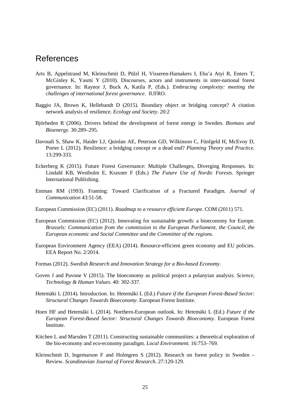## References

- Arts B, Appelstrand M, Kleinschmit D, Pülzl H, Visseren-Hamakers I, Eba'a Atyi R, Enters T, McGinley K, Yasmi Y (2010). Discourses, actors and instruments in inter-national forest governance. In: Raynor J, Buck A, Katila P, (Eds.). *Embracing complexity: meeting the challenges of international forest governance*. IUFRO.
- Baggio JA, Brown K, Hellebandt D (2015). Boundary object or bridging concept? A citation network analysis of resilience. *Ecology and Society*. 20:2
- Björheden R (2006). Drivers behind the development of forest energy in Sweden. *Biomass and Bioenergy*. 30:289–295.
- Davoudi S, Shaw K, Haider LJ, Quinlan AE, Peterson GD, Wilkinson C, Fünfgeld H, McEvoy D, Porter L (2012). Resilience: a bridging concept or a dead end? *Planning Theory and Practice.* 13:299-333.
- Eckerberg K (2015). Future Forest Governance: Multiple Challenges, Diverging Responses. In: Lindahl KB, Westholm E, Kraxner F (Eds.) *The Future Use of Nordic Forests.* Springer International Publishing.
- Entman RM (1993). Framing: Toward Clarification of a Fractured Paradigm. *Journal of Communication* 43:51-58.
- European Commission (EC) (2011). *Roadmap to a resource efficient Europe*. COM (2011) 571.
- European Commission (EC) (2012). Innovating for sustainable growth: a bioeconomy for Europe. *Brussels: Communication from the commission to the European Parliament, the Council, the European economic and Social Committee and the Committee of the regions.*
- European Environment Agency (EEA) (2014). Resource-efficient green economy and EU policies. EEA Report No. 2/2014.
- Formas (2012). *Swedish Research and Innovation Strategy for a Bio-based Economy*.
- Goven J and Pavone V (2015). The bioeconomy as political project a polanyian analysis. *Science, Technology & Human Values*. 40: 302-337.
- Hetemäki L (2014). Introduction. In: Hetemäki L (Ed.) *Future if the European Forest-Based Sector: Structural Changes Towards Bioeconomy*. European Forest Institute.
- Hoen HF and Hetemäki L (2014). Northern-European outlook. In: Hetemäki L (Ed.) *Future if the European Forest-Based Sector: Structural Changes Towards Bioeconomy*. European Forest Institute.
- Kitchen L and Marsden T (2011). Constructing sustainable communities: a theoretical exploration of the bio-economy and eco-economy paradigm. *Local Environment.* 16:753–769.
- Kleinschmit D, Ingemarson F and Holmgren S (2012). Research on forest policy in Sweden Review. *Scandinavian Journal of Forest Research*. 27:120-129.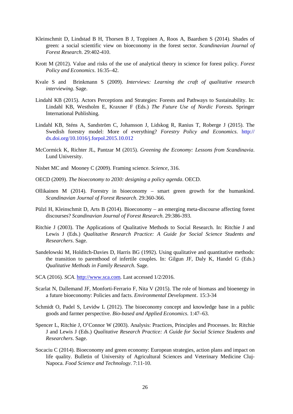- Kleinschmit D, Lindstad B H, Thorsen B J, Toppinen A, Roos A, Baardsen S (2014). Shades of green: a social scientific view on bioeconomy in the forest sector. *Scandinavian Journal of Forest Research*. 29:402-410.
- Krott M (2012). Value and risks of the use of analytical theory in science for forest policy. *Forest Policy and Economics*. 16:35–42.
- Kvale S and Brinkmann S (2009). *Interviews: Learning the craft of qualitative research interviewing*. Sage.
- Lindahl KB (2015). Actors Perceptions and Strategies: Forests and Pathways to Sustainability. In: Lindahl KB, Westholm E, Kraxner F (Eds.) *The Future Use of Nordic Forests.* Springer International Publishing.
- Lindahl KB, Sténs A, Sandström C, Johansson J, Lidskog R, Ranius T, Roberge J (2015). The Swedish forestry model: More of everything? *Forestry Policy and Economics*. http:// dx.doi.org/10.1016/j.forpol.2015.10.012
- McCormick K, Richter JL, Pantzar M (2015). *Greening the Economy: Lessons from Scandinavia*. Lund University.
- Nisbet MC and Mooney C (2009). Framing science. *Science*, 316.
- OECD (2009). *The bioeconomy to 2030: designing a policy agenda*. OECD.
- Ollikainen M (2014). Forestry in bioeconomy smart green growth for the humankind. *Scandinavian Journal of Forest Research*. 29:360-366.
- Pülzl H, Kleinschmit D, Arts B (2014). Bioeconomy an emerging meta-discourse affecting forest discourses? *Scandinavian Journal of Forest Research*. 29:386-393.
- Ritchie J (2003). The Applications of Qualitative Methods to Social Research. In: Ritchie J and Lewis J (Eds.) *Qualitative Research Practice: A Guide for Social Science Students and Researchers*. Sage.
- Sandelowski M, Holditch-Davies D, Harris BG (1992). Using qualitative and quantitative methods: the transition to parenthood of infertile couples. In: Gilgun JF, Daly K, Handel G (Eds.) *Qualitative Methods in Family Research*. Sage.
- SCA (2016). *SCA*. [http://www.sca.com.](http://www.sca.com/) Last accessed 1/2/2016.
- Scarlat N, Dallemand JF, Monforti-Ferrario F, Nita V (2015). The role of biomass and bioenergy in a future bioeconomy: Policies and facts. *Environmental Development*. 15:3-34
- Schmidt O, Padel S, Levidw L (2012). The bioeconomy concept and knowledge base in a public goods and farmer perspective. *Bio-based and Applied Economics*. 1:47–63.
- Spencer L, Ritchie J, O'Connor W (2003). Analysis: Practices, Principles and Processes. In: Ritchie J and Lewis J (Eds.) *Qualitative Research Practice: A Guide for Social Science Students and Researchers*. Sage.
- Socaciu C (2014). Bioeconomy and green economy: European strategies, action plans and impact on life quality. Bulletin of University of Agricultural Sciences and Veterinary Medicine Cluj-Napoca. *Food Science and Technology*. 7:11-10.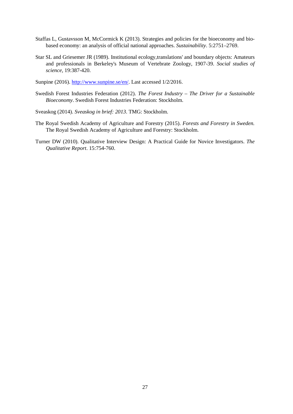- Staffas L, Gustavsson M, McCormick K (2013). Strategies and policies for the bioeconomy and biobased economy: an analysis of official national approaches. *Sustainability*. 5:2751–2769.
- Star SL and Griesemer JR (1989). Institutional ecology,translations' and boundary objects: Amateurs and professionals in Berkeley's Museum of Vertebrate Zoology, 1907-39. *Social studies of science,* 19:387-420.
- Sunpine (2016)[. http://www.sunpine.se/en/.](http://www.sunpine.se/en/) Last accessed 1/2/2016.
- Swedish Forest Industries Federation (2012). *The Forest Industry – The Driver for a Sustainable Bioeconomy*. Swedish Forest Industries Federation: Stockholm.
- Sveaskog (2014). *Sveaskog in brief: 2013*. TMG: Stockholm.
- The Royal Swedish Academy of Agriculture and Forestry (2015). *Forests and Forestry in Sweden.* The Royal Swedish Academy of Agriculture and Forestry: Stockholm.
- Turner DW (2010). Qualitative Interview Design: A Practical Guide for Novice Investigators. *The Qualitative Report*. 15:754-760.